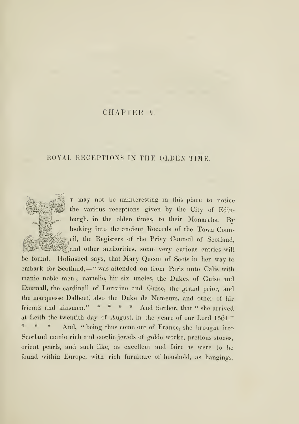# CHAPTER V.

## ROYAL RECEPTIONS IN THE OLDEN TIME.

T may not be uninteresting in this place to notice the various receptions given by the City of Edinburgh, in the olden times, to their Monarchs. By looking into the ancient Records of the Town Couneil, the Registers of the Privy Council of Scotland,

and other authorities, some very curious entries will be found. Holinshed says, that Mary Queen of Scots in her way to embark for Scotland, - "was attended on from Paris unto Calis with manie noble men ; namelie, hir six uncles, the Dukes of Guise and Daumall, the cardinall of Lorraine and Guise, the grand prior, and the marquesse Dalbeuf, also the Duke de Nemeurs, and other of hir friends and kinsmen." \* \* \* \* And farther, that " she arrived at Leith the twentith day of August, in the yeare of our Lord 15G1." And, "being thus come out of France, she brought into Scotland manie rich and costlie jewels of golde worke, pretious stones, orient pearls, and such like, as excellent and faire as were to be found within Europe, with rich furniture of houshold, as hangings,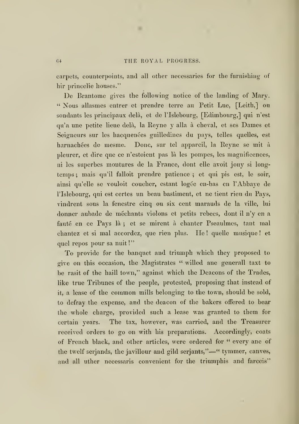×

carpets, counterpoints, and all other necessaries for the furnishing of hir princelie houses."

De Brantome gives the following notice of the landing of Mary. " Nous allasmes entrer et prendre terre au Petit Lue, [Leith,] ou sondants les principaux delà, et de l'Islebourg, [Edimbourg,] qui n'est qu'a une petite lieue dela, la Reyne y alia <sup>a</sup> cheval, et ses Dames et Seigneurs sur les hacquenées guilledines du pays, telles quelles, est harnachées de mesme. Done, sur tel appareil, la Reyne se mit à pleurer, et dire que ce n'estoient pas la les pompes, les magnificences, ni les superbes montures de la France, dont elle avoit jouy si longtemps ; mais qu'il falloit prendre patience ; et qui pis est, le soir, ainsi qu'elle se vouloit coucher, estant logée en-bas en l'Abbaye de l'Islebourg, qui est certes un beau bastiment, et ne tient rien du Pays, vindrent sous la fenestre cinq ou six cent marauds de la ville, lui donner aubade de mechants violons et petits rebecs, dont il n'y en a fauté en ce Pays là; et se mirent à chanter Pseaulmes, tant mal chantez et si mal accordez, que rien plus. He ! quelle musique ! et quel repos pour sa nuit !"

To provide for the banquet and triumph which they proposed to give on this occasion, the Magistrates " willed ane generall taxt to be rasit of the haill town," against which the Deacons of the Trades, like true Tribunes of the people, protested, proposing that instead of it, a lease of the common mills belonging to the town, should be sold, to defray the expense, and the deacon of the bakers offered to bear the whole charge, provided such a lease was granted to them for certain years. The tax, however, was carried, and the Treasurer received orders to go on with his preparations. Accordingly, coats of French black, and other articles, were ordered for " every ane of the twelf serjands, the javillour and gild serjants,"—" tymmer, canves, and all uther necessaris convenient for the triumphis and farceis"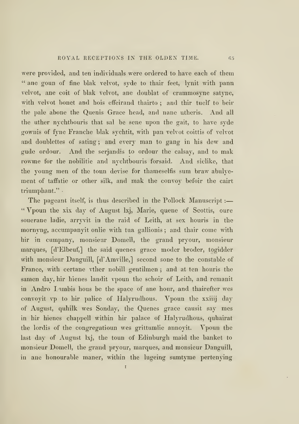were provided, and ten individuals were ordered to have each of them " ane goun of fine blak velvot, syde to thair feet, lynit with pann velvot, ane coit of blak velvot, ane doublat of erammosyne satyne, with velvot bonet and hois effeirand thairto; and thir tuelf to beir the pale abone the Quenis Grace head, and nane utheris. And all the uther nychtbouris that sal be sene upon the gait, to have syde gownis of fyne Franche blak sychtit, with pan velvet coittis of velvet and doublettes of sating ; and every man to gang in his dew and gude ordour. And the serjandis to ordour the calsay, and to mak rowme for the nobilitie and nychtbouris forsaid. And siclike, that the young men of the toun devise for thameselfis sum braw abulyement of taffatie or other silk, and mak the convoy befoir the cairt triumphant."

The pageant itself, is thus described in the Pollock Manuscript :-" Vpoun the xix day of August Ixj, Marie, quene of Scottis, oure souerane ladie, arryvit in the raid of Leith, at sex houris in the mornyng, accumpanyit onlie with tua gallionis ; and thair come with hir in cumpany, monsieur Domell, the grand pryour, monsieur marques, [d'Elbeuf,] the said quenes grace moder broder, togidder with monsieur Danguill, [d'Amville,] second sone to the constable of France, with certane vther nobill gentilmen ; and at ten houris the samen day, hir hienes landit vpoun the schoir of Leith, and remanit in Andro Lambis hous be the space of ane hour, and thairefter wes convoyit vp to hir palice of Halyrudhous. Vpoun the xxiiij day of August, quhilk wes Sonday, the Quenes grace causit say mes in hir hienes chappell within hir palace of Halyrudhous, quhairat the lordis of the congregatioun wes grittumlie annoyit. Vpoun the last day of August Ixj, the toun of Edinburgh maid the banket to monsieur Domell, the grand pryour, marques, and monsieur Danguill, in ane honourable maner, within the lugeing sumtyme pertenying

I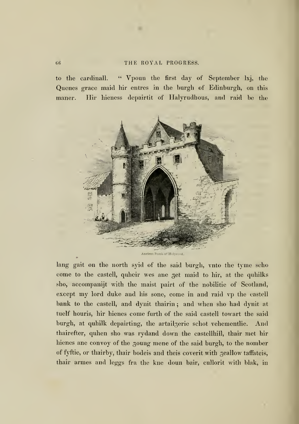to the cardinal!. " Vpoun the first day of September Ixj, the Quenes grace maid hir entres in the burgh of Edinburgh, on this maner. Hir hieness depairtit of Halyrudhous, and raid be the



lang gait on the north syid of the said burgh, vnto the tyme scho come to the castell, quheir wes ane get maid to hir, at the quhilks sho, accompanijt with the maist pairt of the nobilitie of Scotland, except my lord duke and his sone, come in and raid vp the castell bank to the castell, and dynit thairin ; and when sho had dynit at tuelf houris, hir hienes come furth of the said castell towart the said burgh, at quhilk depairting, the artailgerie schot vehementlie. And thairefter, quhen sho was rydand down the castellhill, thair met hir hienes ane convoy of the goung mene of the said burgh, to the nomber of fyftie, or thairby, thair bodeis and theis coverit with geallow taffateis, thair armes and leggs fra the kne doun bair, cullorit with blak, in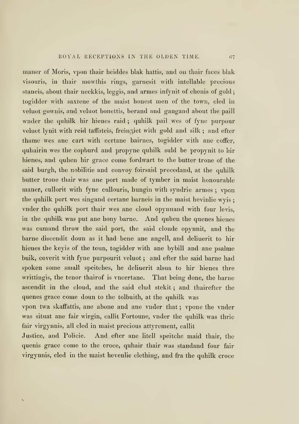maner of Moris, vpon thair heiddes blak hattis, and on thair faces blak visouris, in thair mowthis rings, garnesit with intellable precious staneis, about thair neckkis, leggis, and armes infynit of chenis of gold togidder with saxtene of the maist honest men of the town, cled in veluot gownis, and veluot bonettis, berand and gangand about the paill wnder the quhilk hir hienes raid ; quhilk pail wes of fyne purpour veluet lynit with reid taffateis, freingiet with gold and silk ; and efter thame wes ane cart with certane bairnes, togidder with ane coffer, quhairin wes the copburd and propyne quhilk suld be propynit to hir hienes, and quhen hir grace come fordwart to the butter trone of the said burgh, the nobilitie and convoy foirsaid precedand, at the quhilk butter trone thair was ane port made of tymber in maist honourable maner, cullorit with fyne cullouris, hungin with syndrie armes ; vpon the quhilk port wes singand certane barneis in the maist hevinlie wyis vnder the quhilk port thair wes ane cloud opynnand with four levis, in the quhilk was put ane bony barne. And quhen the quenes hienes was cumand throw the said port, the said cloude opynnit, and the barne discendit doun as it had bene ane angell, and deliuerit to hir hienes the keyis of the toun, togidder with ane bybill and ane psalme bulk, coverit with fyne purpourit veluot ; and efter the said barne had spoken some small speitches, he deliuerit alsua to hir hienes thre writtingis, the tenor thairof is vncertane. That being done, the barne ascendit in the cloud, and the said clud stekit ; and thairefter the quenes grace come doun to the tolbuith, at the quhilk was

vpon twa skaffattis, ane abone and ane vnder that ; vpone the vnder was situat ane fair wirgin, callit Fortoune, vnder the quhilk was thrie fair virgynnis, all cled in maist precious attyrement, callit

Justice, and Policie. And efter ane litell speitche maid thair, the quenis grace come to the croce, quhair thair was standand four fair virgynnis, cled in the maist hevenlie clething, and fra the quhilk croce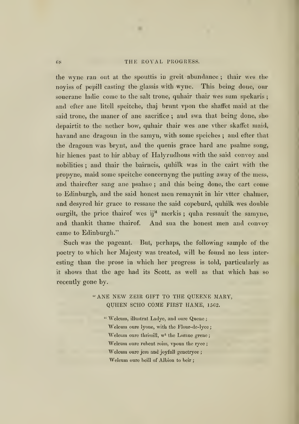٠

the wyne ran out at the spouttis in greit abundance ; thair wes the noyiss of pepill casting the glassis with wyne. This being done, our souerane ladie come to the salt trone, quhair thair wes sum spekaris; and cfter ane litell speitche, thaj brunt vpon the shaffet maid at the said trone, the maner of ane sacrifice; and swa that being done, sho depairtit to the nether bow, quhair thair wes ane vther skaffet maid, havand ane dragoun in the samyn, with some speiches ; and efter that the dragoun was brynt, and the quenis grace hard ane psalme song, hir hienes past to hir abbay of Halyrudhous with the said convoy and nobilities ; and thair the bairneis, quhilk was in the cairt with the propync, maid some speitche concernyng the putting away of the mess, and thairefter sang ane psalme ; and this being done, the cart come to Edinburgh, and the said honest men remaynit in hir vtter chalmer, and desyred hir grace to ressaue the said copeburd, quhilk wes double ourgilt, the price thairof wes ij<sup>M</sup> merkis; quha ressauit the samyne, and thankit thame thairof. And sua the honest men and convoy came to Edinburgh."

Such was the pageant. But, perhaps, the following sample of the poetry to which her Majesty was treated, will be found no less interesting than the prose in which her progress is told, particularly as it shows that the age had its Scott, as well as that which has so recently gone by.

> "ANE NEW ZEIR GIFT TO THE QUEENE MARY, QUHEN SCHO COME FIRST HAME, 1562.

" Weleum, illustrat Ladye, and oure Quene; Welcum oure lyone, with the Flour-de-lyce; Welcum oure thrissill, w<sup>t</sup> the Lorane grene; Welcum oure rubent roiss, vpoun the ryee; Welcum oure jem and joyfull genetryce; Welcum oure beill of Albion to beir;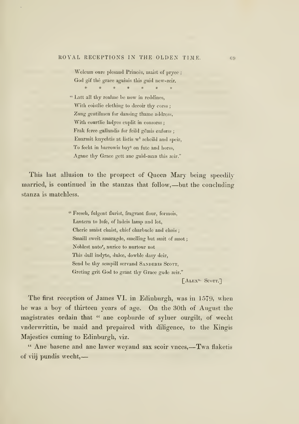Welcum oure plesand Princes, maist of pryce ; God gif the grace againis this guid new-zeir.  $\frac{M}{R}$  $\frac{1}{2\sqrt{2}}$  $\#$  $\frac{\partial \mathcal{L}}{\partial \mathcal{L}}$  $\boldsymbol{\varkappa}$ 

" Latt all thy realme be now in reddines, With coistlie elething to decoir thy corss; Zung gentilinen for dansing thame address, With courtlie ladyes cuplit in consorss; Frak ferce gallandis for feild gemis enforss; Enannit knychtis at listis w' scheild and speir, To fecht in barrowis bay<sup>t</sup> on fute and horss, Agane thy Grace gett ane guid-man this zeir."

This last allusion to the prospect of Queen Mary being speedilymarried, is continued in the stanzas that follow,—but the concluding stanza is matchless.

> " Freseb, fulgent flurist, fragrant flour, forraois, Lantern to lufe, of ladeis lamp and lot, Cherie maist chaist, chief charbucle and chois ; Smaill sweit smaragde, smelling but smit of smot; Noblest nato'', nurice to nurtour not This dull indyte, dulce, dowble dasy deir. Send be thy sempill servand SANDERIS SCOTT, Greting grit God to grant thy Grace gude zeir."

[^Alex"- Scott.]

The first reception of James VI. in Edinburgh, was in 1579, when he was a boy of thirteen years of age. On the 30th of August the magistrates ordain that " ane copburde of syluer ourgilt, of wecht vnderwrittin, be maid and prepaired with diligence, to the Kingis Majesties cuming to Edinburgh, viz.

" Ane basene and ane lawer weyand sax scoir vnces,—Twa flaketis of viij pundis wecht,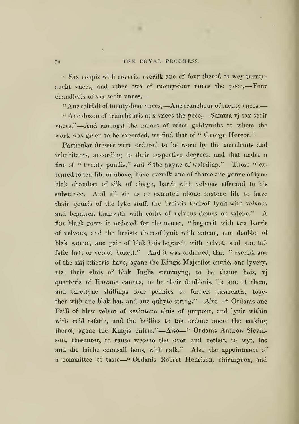$\mathbf{u}$ 

" Sax coupis with coveris, everilk ane of four therof, to wey tuentyaucht vnces, and vther twa of tuenty-four vnces the pece,-Four chandleris of sax scoir vnces,

" Ane saltfalt of tuenty-four vnces, - Ane trunchour of tuenty vnces, -

" Ane dozon of trunchouris at <sup>x</sup> vnces the pece,—Summa vj sax scoir vnces."—And amongst the names of other goldsmiths to whom the work was given to be executed, we find that of " George Hereot."

Particular dresses were ordered to be worn by the merchants and inhabitants, according to their respective degrees, and that under a tine of " twenty pundis," and " the payne of wairding." Those " extented to ten lib. or above, have everilk ane of thame ane goune of fyne blak chamlott of silk of cierge, barrit with velvous efferand to his substance. And all sic as ar extented aboue saxtene lib. to have thair gounis of the lyke stuff, the breistis thairof lynit with velvous and begaireit thairwith with coitis of velvous dames or satene." A fine black gown is ordered for the macer, " begareit with twa barris of velvous, and the breists thereof lynit with satene, ane doublet of blak satene, ane pair of blak hois begareit with velvet, and ane taffatie hatt or velvot bonett." And it was ordained, that " everilk ane of the xiij officeris have, agane the Kingis Majesties entrie, ane lyvery, viz. thrie elnis of blak Inglis stemmyng, to be thame hois, vj quarteris of Kowane canves, to be their doubletis, ilk ane of them, and threttyne shillings four pennies to furneis pasmentis, together with ane blak hat, and ane quhyte string."—Also—" Ordanis ane Paill of blew velvot of sevintene elnis of purpour, and lynit within with reid tafatie, and the baillies to tak ordour anent the making therof, agane the Kingis entrie."—Also—" Ordanis Androw Stevinson, thesaurer, to cause wesche the over and nether, to wyt, his and the laiche counsall hous, with calk." Also the appointment of <sup>a</sup> committee of taste—" Ordanis Robert Henrison, chirurgeon, and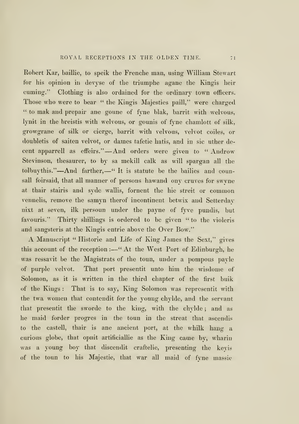Robert Kar, baillie, to speik the Frenche man, using William Stewart for his opinion in devyse of the triumphe agane the Kingis heir cuming." Clothing is also ordained for the ordinary town officers. Those who were to bear " the Kingis Majesties paill," were charged " to mak and prepair ane goune of fyne blak, barrit with welvous, lynit in the breistis with welvous, or gounis of fyne chamlott of silk, growgrane of silk or cierge, barrit with velvous, velvot coiles, or doubletis of saiten velvot, or dames tafetie hatis, and in sic uther decent apparrell as effeirs." —And orders were given to " Androw Stevinson, thesaurer, to by sa mekill calk as will spargan all the tolbuythis."—And farther,—" It is statute be the bailies and counsall foirsaid, that all manner of persons hawand ony cruves for swyne at thair stairis and syde wallis, foment the hie streit or common vennelis, remove the samyn therof incontinent betwix and Setterday nixt at seven, ilk persoun under the payne of fyve pundis, but favouris." Thirty shillings is ordered to be given " to the violeris and sangsteris at the Kingis entrie above the Over Bow."

A Manuscript " Historic and Life of King James the Sext," gives this account of the reception :- "At the West Port of Edinburgh, he was ressavit be the Magistrats of the toun, under a pompous payle of purple velvot. That port presentit unto him the wisdome of Solomon, as it is written in the third chapter of the first buik of the Kings : That is to say, King Solomon was representit with the twa women that contendit for the young chylde, and the servant that presentit the sworde to the king, with the chylde ; and as he maid forder progres in the toun in the streat that ascendis to the castell, thair is ane ancient port, at the whilk hang a curious globe, that opnit artificiallie as the King came by, wharin was a young boy that discendit craftelie, presenting the keyis of the toun to his Majestic, that war all maid of fyne massie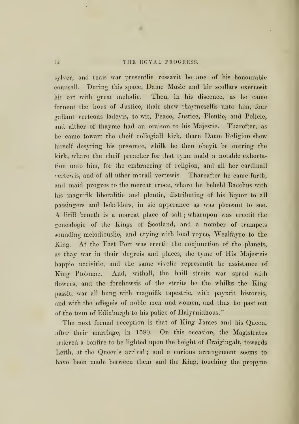٠

sylver, and thais war presentlie ressavit be ane of his honourable counsall. During this space, Dame Music and hir scollars exercesit hir art with great melodic. Then, in his discence, as he came fornent the hous of Justice, thair shew thaymeselfis unto him, four gallant verteous ladeyis, to wit, Peace, Justice, Plentie, and Policie, and aither of thayme had an oraison to his Majestic. Tharefter, as he came towart the cheif collegiall kirk, thare Dame Religion shew hirself desyring his presence, whilk he then obeyit be entring the kirk, whare the cheif preacher for that tyme maid a notable exhortation unto him, for the cmbraceing of religion, and all her cardinall vertewis, and of all uther morall vertewis. Thareafter he came furth, and maid progres to the mercat croce, whare he beheld Bacchus with his magnifik liberalitie and plentie, distributing of his liquor to all passingers and behalders, in sic apperance as was pleasant to see. A litill beneth is <sup>a</sup> marcat place of salt ;wharupon was erectit the genealogie of the Kings of Scotland, and a nomber of trumpets sounding melodiouslic, and crying with loud voyce, Wealfayre to the King. At the East Port was erectit the conjunction of the planets, as thay war in thair degreis and places, the tyme of His Majesteis happie nativitie, and the same vivelie representit be assistance of King Ptolomæ. And, withall, the haill streits war spred with flowres, and the forehowsis of the streits be the whilks the King passit, war all hung with magnifik tapestrie, with payntit historeis, and with the effegeis of noble men and women, and thus he past out of the toun of Edinburgh to his palice of Halyruidhous."

The next formal reception is that of King James and his Queen, after their marriage, in 1589. On this occasion, the Magistrates ordered a bonfire to be lighted upon the height of Craigingalt, towards Leith, at the Queen's arrival; and a curious arrangement seems to have been made between them and the King, touching the propyne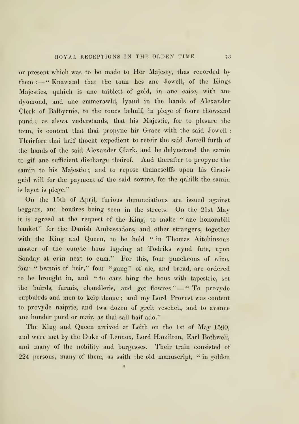or present which was to be made to Her Majesty, thus recorded by them :- "Knawand that the toun hes ane Jowell, of the Kings Majesties, quhich is ane taiblett of gold, in ane caise, with ane dyomond, and ane emmerawld, lyand in the hands of Alexander Clerk of Balbyrnie, to the touns behuif, in plege of foure thowsand pund ; as alswa vnderstands, that his Majestie, for to plesure the toun, is content that thai propyne hir Grace with the said Jowell : Thairfore thai haif thocht expedient to reteir the said Jowell furth of the hands of the said Alexander Clark, and he delyuerand the samin to gif ane sufficient discharge thairof. And therafter to propyne the samin to his Majestie ; and to repose thameselffs upon his Gracis guid will for the payment of the said sowme, for the quhilk the samin is layet is plege."

On the 15th of April, furious denunciations are issued against beggars, and bonfires being seen in the streets. On the 21st Mayit is agreed at the request of the King, to make " ane honorabill banket" for the Danish Ambassadors, and other strangers, together with the King and Queen, to be held " in Thomas Aitchinsoun master of the cunyie hous lugeing at Todriks wynd fute, upon Sonday at evin next to cum." For this, four puncheons of wine, four " bwnnis of beir," four "gang" of ale, and bread, are ordered to be brought in, and " to caus hing the hous with tapestrie, set the buirds, furmis, chandleris, and get flowres "-" To provyde cupbuirds and men to keip thame ; and my Lord Provest was content to provyde naiprie, and twa dozen of greit veschell, and to avance ane hunder pund or mair, as thai sall haif ado."

The King and Queen arrived at Leith on the 1st of May 1590, and were met by the Duke of Lennox, Lord Hamilton, Earl Bothwell, and many of the nobility and burgesses. Their train consisted of 224 persons, many of them, as saith the old manuscript, " in golden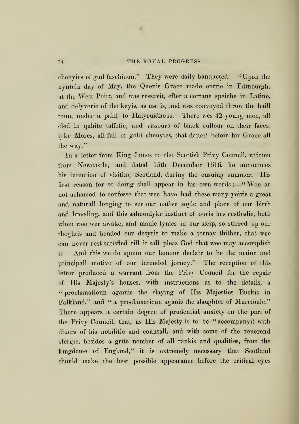٠

chenyies of gud faschioun." They were daily banqueted. " Upon the nyntein day of May, the Quenis Grace made entrie in Edinburgh, at the West Poirt, and was ressavit, efter a certane speiche in Latine, and delyverie of the keyis, as use is, and wes convoyed throw the haill toun, under a paill, to Halyruidhous. There wes 42 young men, all cled in quhite taffetie, and vissours of black cullour on their faces, lyke Mores, all full of gold chenyies, that dancit befoir hir Grace all the way."

In a letter from King James to the Scottish Privy Council, written from Newcastle, and dated 15th December 1616, he announces his intention of visiting Scotland, during the ensuing summer. His first reason for so doing shall appear in his own words :—"Wee ar not achamed to confesse that wee have had these many yeiris a great and naturall longing to see our native soyle and place of our birth and breeding, and this salmonlyke instinct of ouris hes restleslie, both when wee wer awake, and manie tymes in our sleip, so stirred up our thoghtis and bended our desyris to make a jornay thither, that wee can never rest satisfied till it sall pleas God that wee may accomplish it : And this we do upoun our honour declair to be the maine and principall motive of our intended jorney." The reception of this letter produced a warrant from the Privy Council for the repair of His Majesty's houses, with instructions as to the details, a " proclamatioun againis the slaying of His Majesties Buckis in Falkland," and " a proclamatioun aganis the slaughter of Murefoule." There appears a certain degree of prudential anxiety on the part of the Privy Council, that, as His Majesty is to be " accompanyit with diuers of his nobilitie and counsall, and with some of the reuerend clergie, besides a grite nomber of all rankis and qualities, from the kingdome of England," it is extremely necessary that Scotland should make the best possible appearance before the critical eyes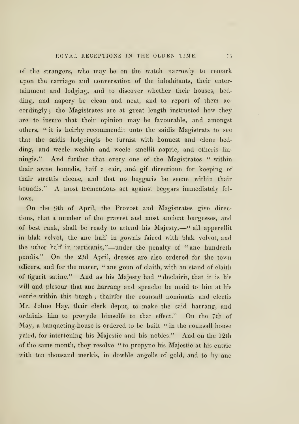of the strangers, who may be on the watch narrowly to remark upon the carriage and conversation of the inhabitants, their entertainment and lodging, and to discover whether their houses, bedding, and napery be clean and neat, and to report of them accordingly ; the Magistrates are at great length instructed how they are to insure that their opinion may be favourable, and amongst others, " it is heirby recommendit unto the saidis Magistrats to see that the saidis ludgeingis be furnist with honnest and clene bedding, and weele weshin and weele smellit naprie, and otheris linningis." And further that every one of the Magistrates " within thair awne boundis, haif a cair, and gif directioun for keeping of thair strettis cleene, and that no beggaris be scene within thair boundis." A most tremendous act against beggars immediately follows.

On the 9th of April, the Provost and Magistrates give directions, that a number of the gravest and most ancient burgesses, and of best rank, shall be ready to attend his Majesty,—" all apperellit in blak velvet, the ane half in gownis faiced with blak velvet, and the uther half in partisanis,"—under the penalty of " ane hundreth pundis." On the 23d April, dresses are also ordered for the town officers, and for the macer, " ane goun of claith, with an stand of claith of figurit satine." And as his Majesty had "declairit, that it is his will and plesour that ane harrang and speache be maid to him at his entrie within this burgh ; thairfor the counsall nominatis and electis Mr. Johne Hay, thair clerk deput, to make the said harrang, and ordainis him to provyde himselfe to that effect." On the 7th of May, a banqueting-house is ordered to be built "in the counsall house yaird, for intertening his Majestic and his nobles." And on the 12th of the same month, they resolve " to propyne his Majestie at his entrie with ten thousand merkis, in dowble angells of gold, and to by ane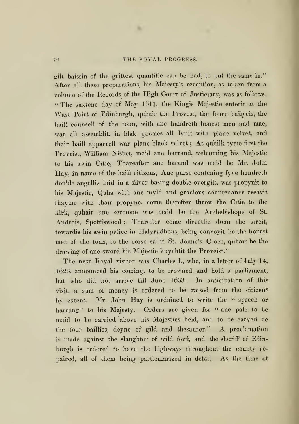٠

ailt baissin of the grittest quantitie can be had, to put the same in." After all these preparations, his Majesty's reception, as taken from a volume of the Eecords of the High Court of Justiciary, was as follows. " The saxtene day of May 1617, the Kingis Majestic enterit at the Wast Poirt of Edinburgh, quhair the Provest, the foure bailyeis, the haill counsell of the toun, with ane hundreth honest men and mae, war all assemblit, in blak gownes all lynit with plane velvet, and thair haill apparrell war plane black velvet ; At quhilk tyme first the Proveist, William Nisbet, maid ane harrand, welcuming his Majestic to his awin Citie, Thareafter ane harand was maid be Mr. John Hay, in name of the haill citizens, Ane purse contening fyve hundreth double angellis laid in a silver basing double overgilt, was propynit to his Majestic, Quha with ane myld and gracious countenance resavit thayme with thair propyne, come tharefter throw the Citie to the kirk, quhair ane sermone was maid be the Archebishope of St. Androis, Spottiswood ; Tharefter come directlie doun the streit, towardis his awin palice in Halyrudhous, being convoyit be the honest men of the toun, to the corse callit St. Johne's Croce, quhair be the drawing of ane sword his Majestic knychtit the Proveist."

The next Eoyal visitor was Charles I., who, in a letter of July 14, 1628, announced his coming, to be crowned, and hold a parliament, but who did not arrive till June 1633. In anticipation of this visit, a sum of money is ordered to be raised from the citizens by extent. Mr. John Hay is ordained to write the " speech or harrang" to his Majesty. Orders are given for " ane pale to be maid to be carried above his Majesties heid, and to be caryed be the four baillies, deyne of gild and thesaurer." A proclamation is made against the slaughter of wild fowl, and the sheriff of Edinburgh is ordered to have the highways throughout the county repaired, all of them being particularized in detail. As the time of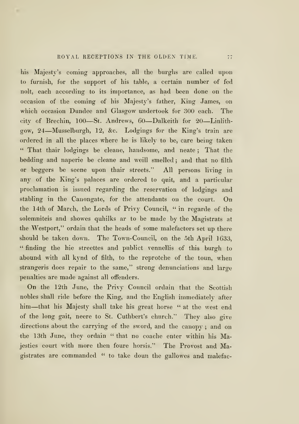his Majesty's coming approaches, all the burghs are called upon to furnish, for the support of his table, a certain number of fed nolt, each according to its importance, as had been done on the occasion of the coming of his Majesty's father, King James, on which occasion Dundee and Glasgow undertook for 300 each. The city of Brechin, <sup>100</sup>—St. Andrews, <sup>60</sup>—Dalkeith for <sup>20</sup>—Linlithgow, <sup>24</sup>—Musselburgh, 12, &c. Lodgings for the King's train are ordered in all the places where he is likely to be, care being taken " That thair lodgings be cleane, handsome, and neate ; That the bedding and naperie be cleane and weill smelled ; and that no filth or beggers be scene upon thair streets." All persons living in any of the King's palaces are ordered to quit, and a particular proclamation is issued regarding the reservation of lodgings and stabling in the Canongate, for the attendants on the court. On the 14th of March, the Lords of Privy Council, " in regarde of the solemniteis and showes quhilks ar to be made by the Magistrats at the Westport," ordain that the heads of some malefactors set up there should be taken down. The Town-Council, on the 5th April 1633, " finding the hie streettes and publict vennellis of this burgh to abound with all kynd of filth, to the reprotche of the toun, when strangeris does repair to the same," strong denunciations and large penalties are made against all offenders.

On the 12th June, the Privy Council ordain that the Scottish nobles shall ride before the King, and the English immediately after him—that his Majesty shall take his great horse " at the west end of the long gait, neere to St. Cuthbert's church." They also give directions about the carrying of the sword, and the canopy ; and on the 13th June, they ordain " that no coache enter within his Majesties court with more then foure horsis," The Provost and Magistrates are commanded " to take doun the gallowes and malefac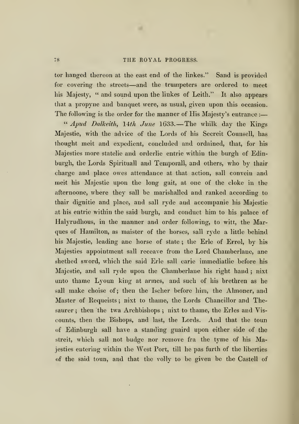×

tor hanged thereon at the cast end of the linkes." Sand is provided for covering the streets—and the trumpeters are ordered to meet his Majesty, " and sound upon the linkes of Leith." It also appears that a propyne and banquet were, as usual, given upon this occasion. The following is the order for the manner of His Majesty's entrance :

"  $A_{p}$  Dalkeith, 14th June 1633.—The whilk day the Kings Majestic, with the advice of the Lords of his Secreit Counsell, has thought meit and expedient, concluded and ordained, that, for his Majesties more statelie and orderlie entrie within the burgh of Edinburgh, the Lords Spirituall and Temporall, and others, who by thair charge and place owes attendance at that action, sail convein and meit his Majestic upon the long gait, at one of the cloke in the afternoone, where they sail be marishalled and ranked according to thair dignitie and place, and sail ryde and accompanie his Majestic at his entrie within the said burgh, and conduct him to his palace of Halyrudhous, in the manner and order following, to witt, the Marques of Hamilton, as maister of the horses, sail ryde a little behind his Majestic, leading ane horse of state ; the Erie of Errol, by his Majesties appointment sail receave from the Lord Chamberlane, ane shethed sword, which the said Erie sail carie immediatlie before his Majestic, and sail ryde upon the Chamberlane his right hand ; nixt unto thame Lyoun king at armes, and such of his brethren as he sall make choise of; then the Ischer before him, the Almoner, and Master of Requeists ; nixt to thame, the Lords Chancillor and Thesaurer; then the twa Archbishops; nixt to thame, the Erles and Viscounts, then the Bishops, and last, the Lords. And that the toun of Edinburgh sail have a standing guaird upon either side of the streit, which sail not budge nor remove fra the tyme of his Majesties entering within the West Port, till he pas furth of the liberties of the said toun, and that the volly to be given be the Castell of